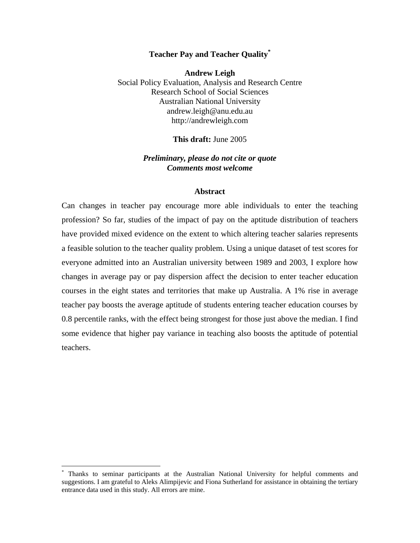### **Teacher Pay and Teacher Quality[\\*](#page-0-0)**

**Andrew Leigh**  Social Policy Evaluation, Analysis and Research Centre Research School of Social Sciences Australian National University andrew.leigh@anu.edu.au http://andrewleigh.com

#### **This draft:** June 2005

#### *Preliminary, please do not cite or quote Comments most welcome*

#### **Abstract**

Can changes in teacher pay encourage more able individuals to enter the teaching profession? So far, studies of the impact of pay on the aptitude distribution of teachers have provided mixed evidence on the extent to which altering teacher salaries represents a feasible solution to the teacher quality problem. Using a unique dataset of test scores for everyone admitted into an Australian university between 1989 and 2003, I explore how changes in average pay or pay dispersion affect the decision to enter teacher education courses in the eight states and territories that make up Australia. A 1% rise in average teacher pay boosts the average aptitude of students entering teacher education courses by 0.8 percentile ranks, with the effect being strongest for those just above the median. I find some evidence that higher pay variance in teaching also boosts the aptitude of potential teachers.

 $\overline{a}$ 

<span id="page-0-0"></span><sup>\*</sup> Thanks to seminar participants at the Australian National University for helpful comments and suggestions. I am grateful to Aleks Alimpijevic and Fiona Sutherland for assistance in obtaining the tertiary entrance data used in this study. All errors are mine.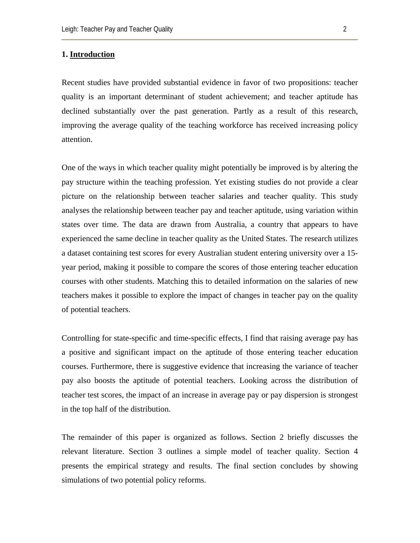#### **1. Introduction**

Recent studies have provided substantial evidence in favor of two propositions: teacher quality is an important determinant of student achievement; and teacher aptitude has declined substantially over the past generation. Partly as a result of this research, improving the average quality of the teaching workforce has received increasing policy attention.

One of the ways in which teacher quality might potentially be improved is by altering the pay structure within the teaching profession. Yet existing studies do not provide a clear picture on the relationship between teacher salaries and teacher quality. This study analyses the relationship between teacher pay and teacher aptitude, using variation within states over time. The data are drawn from Australia, a country that appears to have experienced the same decline in teacher quality as the United States. The research utilizes a dataset containing test scores for every Australian student entering university over a 15 year period, making it possible to compare the scores of those entering teacher education courses with other students. Matching this to detailed information on the salaries of new teachers makes it possible to explore the impact of changes in teacher pay on the quality of potential teachers.

Controlling for state-specific and time-specific effects, I find that raising average pay has a positive and significant impact on the aptitude of those entering teacher education courses. Furthermore, there is suggestive evidence that increasing the variance of teacher pay also boosts the aptitude of potential teachers. Looking across the distribution of teacher test scores, the impact of an increase in average pay or pay dispersion is strongest in the top half of the distribution.

The remainder of this paper is organized as follows. Section 2 briefly discusses the relevant literature. Section 3 outlines a simple model of teacher quality. Section 4 presents the empirical strategy and results. The final section concludes by showing simulations of two potential policy reforms.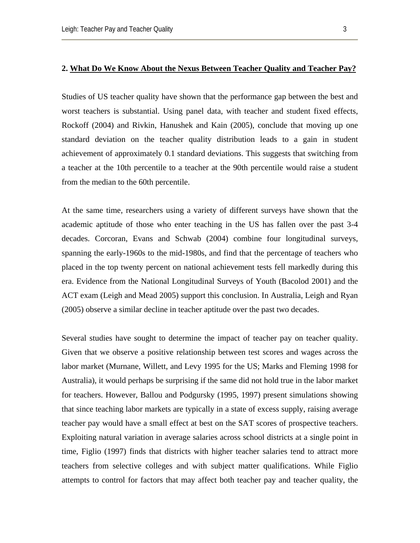Studies of US teacher quality have shown that the performance gap between the best and worst teachers is substantial. Using panel data, with teacher and student fixed effects, Rockoff (2004) and Rivkin, Hanushek and Kain (2005), conclude that moving up one standard deviation on the teacher quality distribution leads to a gain in student achievement of approximately 0.1 standard deviations. This suggests that switching from a teacher at the 10th percentile to a teacher at the 90th percentile would raise a student from the median to the 60th percentile.

At the same time, researchers using a variety of different surveys have shown that the academic aptitude of those who enter teaching in the US has fallen over the past 3-4 decades. Corcoran, Evans and Schwab (2004) combine four longitudinal surveys, spanning the early-1960s to the mid-1980s, and find that the percentage of teachers who placed in the top twenty percent on national achievement tests fell markedly during this era. Evidence from the National Longitudinal Surveys of Youth (Bacolod 2001) and the ACT exam (Leigh and Mead 2005) support this conclusion. In Australia, Leigh and Ryan (2005) observe a similar decline in teacher aptitude over the past two decades.

Several studies have sought to determine the impact of teacher pay on teacher quality. Given that we observe a positive relationship between test scores and wages across the labor market (Murnane, Willett, and Levy 1995 for the US; Marks and Fleming 1998 for Australia), it would perhaps be surprising if the same did not hold true in the labor market for teachers. However, Ballou and Podgursky (1995, 1997) present simulations showing that since teaching labor markets are typically in a state of excess supply, raising average teacher pay would have a small effect at best on the SAT scores of prospective teachers. Exploiting natural variation in average salaries across school districts at a single point in time, Figlio (1997) finds that districts with higher teacher salaries tend to attract more teachers from selective colleges and with subject matter qualifications. While Figlio attempts to control for factors that may affect both teacher pay and teacher quality, the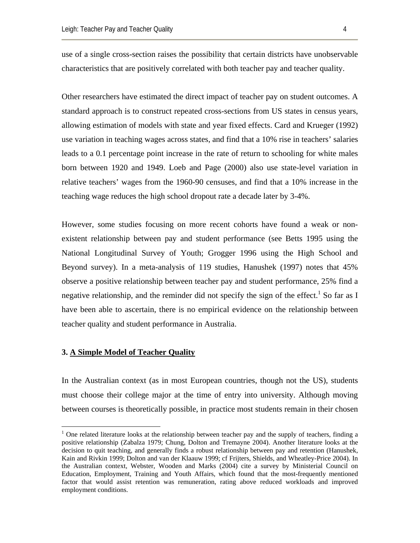use of a single cross-section raises the possibility that certain districts have unobservable characteristics that are positively correlated with both teacher pay and teacher quality.

Other researchers have estimated the direct impact of teacher pay on student outcomes. A standard approach is to construct repeated cross-sections from US states in census years, allowing estimation of models with state and year fixed effects. Card and Krueger (1992) use variation in teaching wages across states, and find that a 10% rise in teachers' salaries leads to a 0.1 percentage point increase in the rate of return to schooling for white males born between 1920 and 1949. Loeb and Page (2000) also use state-level variation in relative teachers' wages from the 1960-90 censuses, and find that a 10% increase in the teaching wage reduces the high school dropout rate a decade later by 3-4%.

However, some studies focusing on more recent cohorts have found a weak or nonexistent relationship between pay and student performance (see Betts 1995 using the National Longitudinal Survey of Youth; Grogger 1996 using the High School and Beyond survey). In a meta-analysis of 119 studies, Hanushek (1997) notes that 45% observe a positive relationship between teacher pay and student performance, 25% find a negative relationship, and the reminder did not specify the sign of the effect.<sup>[1](#page-3-0)</sup> So far as I have been able to ascertain, there is no empirical evidence on the relationship between teacher quality and student performance in Australia.

# **3. A Simple Model of Teacher Quality**

 $\overline{a}$ 

In the Australian context (as in most European countries, though not the US), students must choose their college major at the time of entry into university. Although moving between courses is theoretically possible, in practice most students remain in their chosen

<span id="page-3-0"></span><sup>&</sup>lt;sup>1</sup> One related literature looks at the relationship between teacher pay and the supply of teachers, finding a positive relationship (Zabalza 1979; Chung, Dolton and Tremayne 2004). Another literature looks at the decision to quit teaching, and generally finds a robust relationship between pay and retention (Hanushek, Kain and Rivkin 1999; Dolton and van der Klaauw 1999; cf Frijters, Shields, and Wheatley-Price 2004). In the Australian context, Webster, Wooden and Marks (2004) cite a survey by Ministerial Council on Education, Employment, Training and Youth Affairs, which found that the most-frequently mentioned factor that would assist retention was remuneration, rating above reduced workloads and improved employment conditions.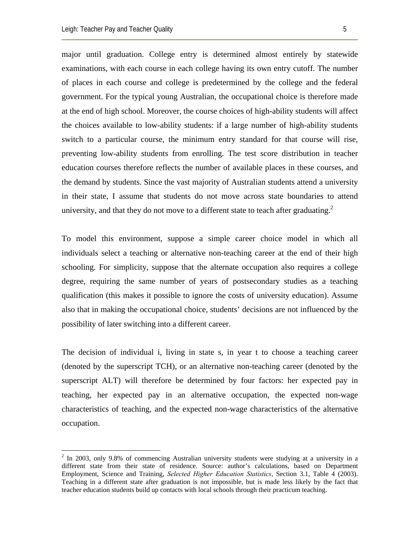1

major until graduation. College entry is determined almost entirely by statewide examinations, with each course in each college having its own entry cutoff. The number of places in each course and college is predetermined by the college and the federal government. For the typical young Australian, the occupational choice is therefore made at the end of high school. Moreover, the course choices of high-ability students will affect the choices available to low-ability students: if a large number of high-ability students switch to a particular course, the minimum entry standard for that course will rise, preventing low-ability students from enrolling. The test score distribution in teacher education courses therefore reflects the number of available places in these courses, and the demand by students. Since the vast majority of Australian students attend a university in their state, I assume that students do not move across state boundaries to attend university, and that they do not move to a different state to teach after graduating.<sup>[2](#page-4-0)</sup>

To model this environment, suppose a simple career choice model in which all individuals select a teaching or alternative non-teaching career at the end of their high schooling. For simplicity, suppose that the alternate occupation also requires a college degree, requiring the same number of years of postsecondary studies as a teaching qualification (this makes it possible to ignore the costs of university education). Assume also that in making the occupational choice, students' decisions are not influenced by the possibility of later switching into a different career.

The decision of individual i, living in state s, in year t to choose a teaching career (denoted by the superscript TCH), or an alternative non-teaching career (denoted by the superscript ALT) will therefore be determined by four factors: her expected pay in teaching, her expected pay in an alternative occupation, the expected non-wage characteristics of teaching, and the expected non-wage characteristics of the alternative occupation.

<span id="page-4-0"></span> $2$  In 2003, only 9.8% of commencing Australian university students were studying at a university in a different state from their state of residence. Source: author's calculations, based on Department Employment, Science and Training, *Selected Higher Education Statistics*, Section 3.1, Table 4 (2003). Teaching in a different state after graduation is not impossible, but is made less likely by the fact that teacher education students build up contacts with local schools through their practicum teaching.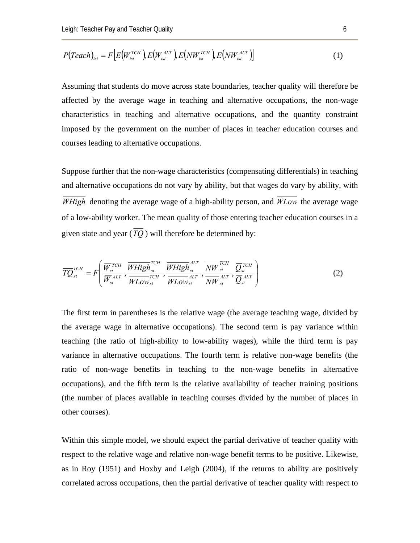$$
P(Teach)_{ist} = F\left[E\left(W_{ist}^{TCH}\right), E\left(W_{ist}^{ALT}\right), E\left(NW_{ist}^{TCH}\right), E\left(NW_{ist}^{ALT}\right)\right]
$$
\n
$$
\tag{1}
$$

Assuming that students do move across state boundaries, teacher quality will therefore be affected by the average wage in teaching and alternative occupations, the non-wage characteristics in teaching and alternative occupations, and the quantity constraint imposed by the government on the number of places in teacher education courses and courses leading to alternative occupations.

Suppose further that the non-wage characteristics (compensating differentials) in teaching and alternative occupations do not vary by ability, but that wages do vary by ability, with *WHigh* denoting the average wage of a high-ability person, and *WLow* the average wage of a low-ability worker. The mean quality of those entering teacher education courses in a given state and year ( $\overline{TQ}$ ) will therefore be determined by:

$$
\overline{TQ}_{st}^{TCH} = F\left(\frac{\overline{W}_{st}^{TCH}}{\overline{W}_{st}^{ALT}}, \frac{\overline{WHigh}_{st}^{TCH}}{\overline{WLow}_{st}}\right), \frac{\overline{WHigh}_{st}^{ALT}}{\overline{WLow}_{st}}\right), \frac{\overline{NW}_{st}^{TCH}}{\overline{WLow}_{st}}\left(\frac{\overline{Q}_{st}^{TCH}}{\overline{NW}_{st}}\right)
$$
(2)

The first term in parentheses is the relative wage (the average teaching wage, divided by the average wage in alternative occupations). The second term is pay variance within teaching (the ratio of high-ability to low-ability wages), while the third term is pay variance in alternative occupations. The fourth term is relative non-wage benefits (the ratio of non-wage benefits in teaching to the non-wage benefits in alternative occupations), and the fifth term is the relative availability of teacher training positions (the number of places available in teaching courses divided by the number of places in other courses).

Within this simple model, we should expect the partial derivative of teacher quality with respect to the relative wage and relative non-wage benefit terms to be positive. Likewise, as in Roy (1951) and Hoxby and Leigh (2004), if the returns to ability are positively correlated across occupations, then the partial derivative of teacher quality with respect to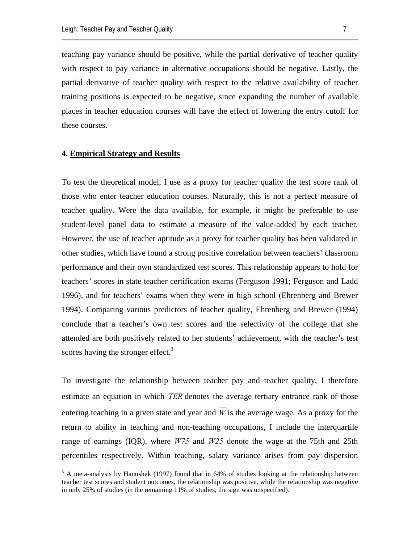teaching pay variance should be positive, while the partial derivative of teacher quality with respect to pay variance in alternative occupations should be negative. Lastly, the partial derivative of teacher quality with respect to the relative availability of teacher training positions is expected to be negative, since expanding the number of available places in teacher education courses will have the effect of lowering the entry cutoff for these courses.

#### **4. Empirical Strategy and Results**

To test the theoretical model, I use as a proxy for teacher quality the test score rank of those who enter teacher education courses. Naturally, this is not a perfect measure of teacher quality. Were the data available, for example, it might be preferable to use student-level panel data to estimate a measure of the value-added by each teacher. However, the use of teacher aptitude as a proxy for teacher quality has been validated in other studies, which have found a strong positive correlation between teachers' classroom performance and their own standardized test scores. This relationship appears to hold for teachers' scores in state teacher certification exams (Ferguson 1991; Ferguson and Ladd 1996), and for teachers' exams when they were in high school (Ehrenberg and Brewer 1994). Comparing various predictors of teacher quality, Ehrenberg and Brewer (1994) conclude that a teacher's own test scores and the selectivity of the college that she attended are both positively related to her students' achievement, with the teacher's test scores having the stronger effect. $3$ 

To investigate the relationship between teacher pay and teacher quality, I therefore estimate an equation in which *TER* denotes the average tertiary entrance rank of those entering teaching in a given state and year and  $\overline{W}$  is the average wage. As a proxy for the return to ability in teaching and non-teaching occupations, I include the interquartile range of earnings (IQR), where *W75* and *W25* denote the wage at the 75th and 25th percentiles respectively. Within teaching, salary variance arises from pay dispersion

<span id="page-6-0"></span> $\frac{1}{3}$  $3$  A meta-analysis by Hanushek (1997) found that in 64% of studies looking at the relationship between teacher test scores and student outcomes, the relationship was positive, while the relationship was negative in only 25% of studies (in the remaining 11% of studies, the sign was unspecified).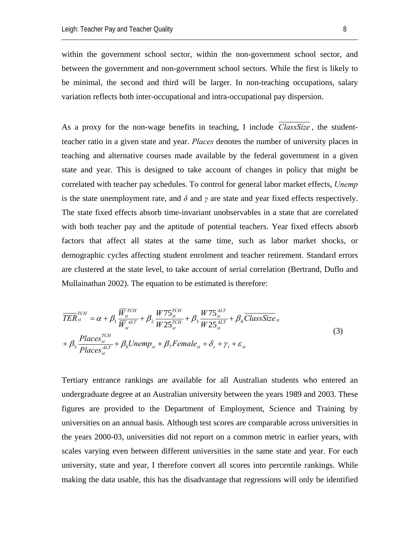within the government school sector, within the non-government school sector, and between the government and non-government school sectors. While the first is likely to be minimal, the second and third will be larger. In non-teaching occupations, salary variation reflects both inter-occupational and intra-occupational pay dispersion.

As a proxy for the non-wage benefits in teaching, I include *ClassSize* , the studentteacher ratio in a given state and year. *Places* denotes the number of university places in teaching and alternative courses made available by the federal government in a given state and year. This is designed to take account of changes in policy that might be correlated with teacher pay schedules. To control for general labor market effects, *Unemp* is the state unemployment rate, and  $\delta$  and  $\gamma$  are state and year fixed effects respectively. The state fixed effects absorb time-invariant unobservables in a state that are correlated with both teacher pay and the aptitude of potential teachers. Year fixed effects absorb factors that affect all states at the same time, such as labor market shocks, or demographic cycles affecting student enrolment and teacher retirement. Standard errors are clustered at the state level, to take account of serial correlation (Bertrand, Duflo and Mullainathan 2002). The equation to be estimated is therefore:

$$
\overline{TER}_{st}^{TCH} = \alpha + \beta_1 \frac{\overline{W}_{st}^{TCH}}{\overline{W}_{st}^{ALT}} + \beta_2 \frac{W75_{st}^{TCH}}{W25_{st}^{TCH}} + \beta_3 \frac{W75_{st}^{ALT}}{W25_{st}^{ALT}} + \beta_4 \overline{ClassSize}_{st}
$$
\n
$$
+ \beta_5 \frac{Places_{st}^{TCH}}{Places_{st}^{ALT}} + \beta_6 Unemp_{st} + \beta_7 Female_{st} + \delta_s + \gamma_t + \varepsilon_{st}
$$
\n(3)

Tertiary entrance rankings are available for all Australian students who entered an undergraduate degree at an Australian university between the years 1989 and 2003. These figures are provided to the Department of Employment, Science and Training by universities on an annual basis. Although test scores are comparable across universities in the years 2000-03, universities did not report on a common metric in earlier years, with scales varying even between different universities in the same state and year. For each university, state and year, I therefore convert all scores into percentile rankings. While making the data usable, this has the disadvantage that regressions will only be identified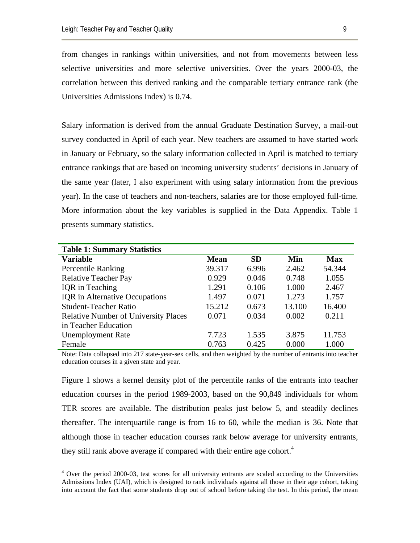$\overline{a}$ 

from changes in rankings within universities, and not from movements between less selective universities and more selective universities. Over the years 2000-03, the correlation between this derived ranking and the comparable tertiary entrance rank (the Universities Admissions Index) is 0.74.

Salary information is derived from the annual Graduate Destination Survey, a mail-out survey conducted in April of each year. New teachers are assumed to have started work in January or February, so the salary information collected in April is matched to tertiary entrance rankings that are based on incoming university students' decisions in January of the same year (later, I also experiment with using salary information from the previous year). In the case of teachers and non-teachers, salaries are for those employed full-time. More information about the key variables is supplied in the Data Appendix. Table 1 presents summary statistics.

| <b>Table 1: Summary Statistics</b>          |             |           |        |            |
|---------------------------------------------|-------------|-----------|--------|------------|
| <b>Variable</b>                             | <b>Mean</b> | <b>SD</b> | Min    | <b>Max</b> |
| <b>Percentile Ranking</b>                   | 39.317      | 6.996     | 2.462  | 54.344     |
| <b>Relative Teacher Pay</b>                 | 0.929       | 0.046     | 0.748  | 1.055      |
| <b>IQR</b> in Teaching                      | 1.291       | 0.106     | 1.000  | 2.467      |
| <b>IQR</b> in Alternative Occupations       | 1.497       | 0.071     | 1.273  | 1.757      |
| <b>Student-Teacher Ratio</b>                | 15.212      | 0.673     | 13.100 | 16.400     |
| <b>Relative Number of University Places</b> | 0.071       | 0.034     | 0.002  | 0.211      |
| in Teacher Education                        |             |           |        |            |
| <b>Unemployment Rate</b>                    | 7.723       | 1.535     | 3.875  | 11.753     |
| Female                                      | 0.763       | 0.425     | 0.000  | 1.000      |

Note: Data collapsed into 217 state-year-sex cells, and then weighted by the number of entrants into teacher education courses in a given state and year.

Figure 1 shows a kernel density plot of the percentile ranks of the entrants into teacher education courses in the period 1989-2003, based on the 90,849 individuals for whom TER scores are available. The distribution peaks just below 5, and steadily declines thereafter. The interquartile range is from 16 to 60, while the median is 36. Note that although those in teacher education courses rank below average for university entrants, they still rank above average if compared with their entire age cohort.<sup>[4](#page-8-0)</sup>

<span id="page-8-0"></span><sup>&</sup>lt;sup>4</sup> Over the period 2000-03, test scores for all university entrants are scaled according to the Universities Admissions Index (UAI), which is designed to rank individuals against all those in their age cohort, taking into account the fact that some students drop out of school before taking the test. In this period, the mean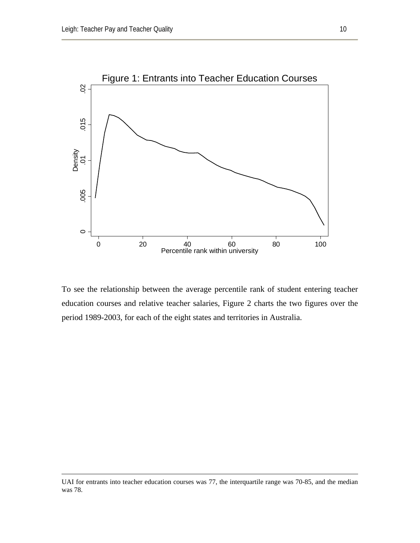

To see the relationship between the average percentile rank of student entering teacher education courses and relative teacher salaries, Figure 2 charts the two figures over the period 1989-2003, for each of the eight states and territories in Australia.

UAI for entrants into teacher education courses was 77, the interquartile range was 70-85, and the median was 78.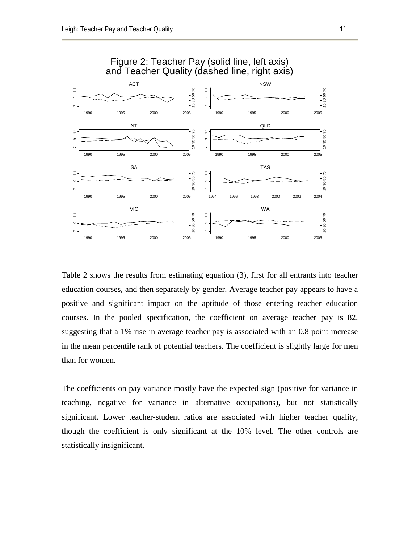

# Figure 2: Teacher Pay (solid line, left axis) and Teacher Quality (dashed line, right axis)

Table 2 shows the results from estimating equation (3), first for all entrants into teacher education courses, and then separately by gender. Average teacher pay appears to have a positive and significant impact on the aptitude of those entering teacher education courses. In the pooled specification, the coefficient on average teacher pay is 82, suggesting that a 1% rise in average teacher pay is associated with an 0.8 point increase in the mean percentile rank of potential teachers. The coefficient is slightly large for men than for women.

The coefficients on pay variance mostly have the expected sign (positive for variance in teaching, negative for variance in alternative occupations), but not statistically significant. Lower teacher-student ratios are associated with higher teacher quality, though the coefficient is only significant at the 10% level. The other controls are statistically insignificant.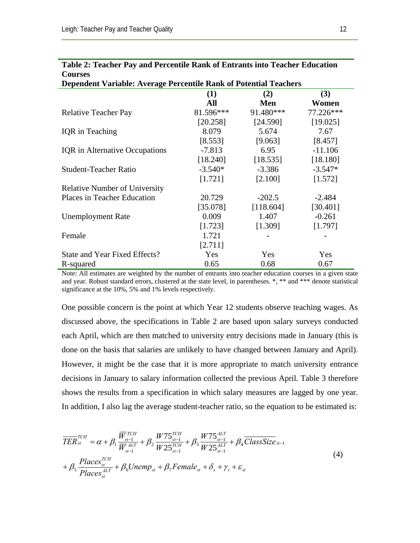| <b>Courses</b>                                                           |           |           |           |  |
|--------------------------------------------------------------------------|-----------|-----------|-----------|--|
| <b>Dependent Variable: Average Percentile Rank of Potential Teachers</b> |           |           |           |  |
|                                                                          | (1)       | (2)       | (3)       |  |
|                                                                          | All       | Men       | Women     |  |
| <b>Relative Teacher Pay</b>                                              | 81.596*** | 91.480*** | 77.226*** |  |
|                                                                          | [20.258]  | [24.590]  | [19.025]  |  |
| <b>IQR</b> in Teaching                                                   | 8.079     | 5.674     | 7.67      |  |
|                                                                          | [8.553]   | [9.063]   | [8.457]   |  |
| <b>IQR</b> in Alternative Occupations                                    | $-7.813$  | 6.95      | $-11.106$ |  |
|                                                                          | [18.240]  | [18.535]  | [18.180]  |  |
| <b>Student-Teacher Ratio</b>                                             | $-3.540*$ | $-3.386$  | $-3.547*$ |  |
|                                                                          | [1.721]   | [2.100]   | [1.572]   |  |
| <b>Relative Number of University</b>                                     |           |           |           |  |
| Places in Teacher Education                                              | 20.729    | $-202.5$  | $-2.484$  |  |
|                                                                          | [35.078]  | [118.604] | [30.401]  |  |
| <b>Unemployment Rate</b>                                                 | 0.009     | 1.407     | $-0.261$  |  |
|                                                                          | [1.723]   | [1.309]   | [1.797]   |  |
| Female                                                                   | 1.721     |           |           |  |
|                                                                          | [2.711]   |           |           |  |
| State and Year Fixed Effects?                                            | Yes       | Yes       | Yes       |  |
| R-squared                                                                | 0.65      | 0.68      | 0.67      |  |

### **Table 2: Teacher Pay and Percentile Rank of Entrants into Teacher Education Courses**

Note: All estimates are weighted by the number of entrants into teacher education courses in a given state and year. Robust standard errors, clustered at the state level, in parentheses. \*, \*\* and \*\*\* denote statistical significance at the 10%, 5% and 1% levels respectively.

One possible concern is the point at which Year 12 students observe teaching wages. As discussed above, the specifications in Table 2 are based upon salary surveys conducted each April, which are then matched to university entry decisions made in January (this is done on the basis that salaries are unlikely to have changed between January and April). However, it might be the case that it is more appropriate to match university entrance decisions in January to salary information collected the previous April. Table 3 therefore shows the results from a specification in which salary measures are lagged by one year. In addition, I also lag the average student-teacher ratio, so the equation to be estimated is:

$$
\overline{TER}_{st}^{TCH} = \alpha + \beta_1 \frac{\overline{W}_{st-1}^{TCH}}{\overline{W}_{st-1}^{ALT}} + \beta_2 \frac{W75_{st-1}^{TCH}}{W25_{st-1}^{TCH}} + \beta_3 \frac{W75_{st-1}^{ALT}}{W25_{st-1}^{ALT}} + \beta_4 \overline{ClassSize}_{st-1} + \beta_5 \frac{Places_{st}^{TCH}}{Places_{st}^{ALT}} + \beta_6 Unemp_{st} + \beta_7 Female_{st} + \delta_s + \gamma_t + \varepsilon_{st}
$$
\n(4)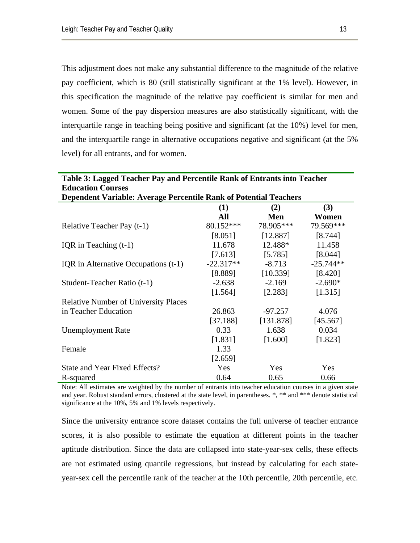This adjustment does not make any substantial difference to the magnitude of the relative pay coefficient, which is 80 (still statistically significant at the 1% level). However, in this specification the magnitude of the relative pay coefficient is similar for men and women. Some of the pay dispersion measures are also statistically significant, with the interquartile range in teaching being positive and significant (at the 10%) level for men, and the interquartile range in alternative occupations negative and significant (at the 5% level) for all entrants, and for women.

| Table 3: Lagged Teacher Pay and Percentile Rank of Entrants into Teacher |             |           |             |  |
|--------------------------------------------------------------------------|-------------|-----------|-------------|--|
| <b>Education Courses</b>                                                 |             |           |             |  |
| <b>Dependent Variable: Average Percentile Rank of Potential Teachers</b> |             |           |             |  |
|                                                                          | (1)         | (2)       | (3)         |  |
|                                                                          | All         | Men       | Women       |  |
| Relative Teacher Pay (t-1)                                               | 80.152***   | 78.905*** | 79.569***   |  |
|                                                                          | [8.051]     | [12.887]  | [8.744]     |  |
| IQR in Teaching $(t-1)$                                                  | 11.678      | 12.488*   | 11.458      |  |
|                                                                          | [7.613]     | [5.785]   | [8.044]     |  |
| IQR in Alternative Occupations (t-1)                                     | $-22.317**$ | $-8.713$  | $-25.744**$ |  |
|                                                                          | [8.889]     | [10.339]  | [8.420]     |  |
| Student-Teacher Ratio (t-1)                                              | $-2.638$    | $-2.169$  | $-2.690*$   |  |
|                                                                          | [1.564]     | [2.283]   | [1.315]     |  |
| <b>Relative Number of University Places</b>                              |             |           |             |  |
| in Teacher Education                                                     | 26.863      | $-97.257$ | 4.076       |  |
|                                                                          | [37.188]    | [131.878] | [45.567]    |  |
| <b>Unemployment Rate</b>                                                 | 0.33        | 1.638     | 0.034       |  |
|                                                                          | [1.831]     | [1.600]   | [1.823]     |  |
| Female                                                                   | 1.33        |           |             |  |
|                                                                          | [2.659]     |           |             |  |
| State and Year Fixed Effects?                                            | Yes         | Yes       | Yes         |  |
| R-squared                                                                | 0.64        | 0.65      | 0.66        |  |

Note: All estimates are weighted by the number of entrants into teacher education courses in a given state and year. Robust standard errors, clustered at the state level, in parentheses. \*, \*\* and \*\*\* denote statistical significance at the 10%, 5% and 1% levels respectively.

Since the university entrance score dataset contains the full universe of teacher entrance scores, it is also possible to estimate the equation at different points in the teacher aptitude distribution. Since the data are collapsed into state-year-sex cells, these effects are not estimated using quantile regressions, but instead by calculating for each stateyear-sex cell the percentile rank of the teacher at the 10th percentile, 20th percentile, etc.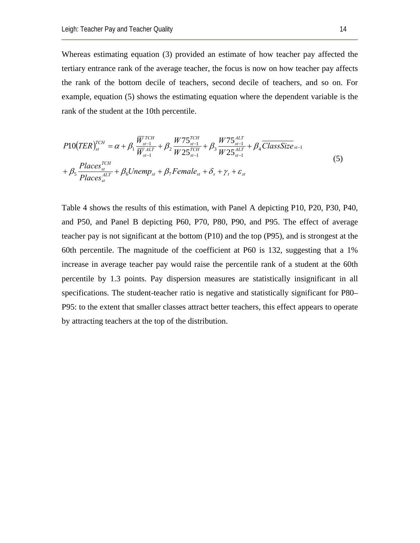Whereas estimating equation (3) provided an estimate of how teacher pay affected the tertiary entrance rank of the average teacher, the focus is now on how teacher pay affects the rank of the bottom decile of teachers, second decile of teachers, and so on. For example, equation (5) shows the estimating equation where the dependent variable is the rank of the student at the 10th percentile.

$$
P10(TER)_{st}^{TCH} = \alpha + \beta_1 \frac{\overline{W}_{st-1}^{TCH}}{\overline{W}_{st-1}^{ALT}} + \beta_2 \frac{W75_{st-1}^{TCH}}{W25_{st-1}^{TCH}} + \beta_3 \frac{W75_{st-1}^{ALT}}{W25_{st-1}^{ALT}} + \beta_4 \overline{ClassSize}_{st-1}
$$
  
+  $\beta_5 \frac{Places_{st}^{TCH}}{Places_{st}^{ALT}} + \beta_6 Unemp_{st} + \beta_7 Female_{st} + \delta_s + \gamma_t + \varepsilon_{st}$  (5)

Table 4 shows the results of this estimation, with Panel A depicting P10, P20, P30, P40, and P50, and Panel B depicting P60, P70, P80, P90, and P95. The effect of average teacher pay is not significant at the bottom (P10) and the top (P95), and is strongest at the 60th percentile. The magnitude of the coefficient at P60 is 132, suggesting that a 1% increase in average teacher pay would raise the percentile rank of a student at the 60th percentile by 1.3 points. Pay dispersion measures are statistically insignificant in all specifications. The student-teacher ratio is negative and statistically significant for P80– P95: to the extent that smaller classes attract better teachers, this effect appears to operate by attracting teachers at the top of the distribution.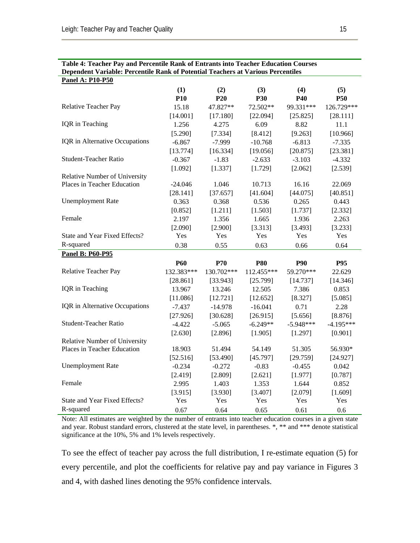| Table 4: Teacher Pay and Percentile Rank of Entrants into Teacher Education Courses<br>Dependent Variable: Percentile Rank of Potential Teachers at Various Percentiles |            |                 |            |             |             |
|-------------------------------------------------------------------------------------------------------------------------------------------------------------------------|------------|-----------------|------------|-------------|-------------|
| <b>Panel A: P10-P50</b>                                                                                                                                                 |            |                 |            |             |             |
|                                                                                                                                                                         | (1)        | (2)             | (3)        | (4)         | (5)         |
|                                                                                                                                                                         | <b>P10</b> | P <sub>20</sub> | <b>P30</b> | <b>P40</b>  | <b>P50</b>  |
| Relative Teacher Pay                                                                                                                                                    | 15.18      | 47.827**        | 72.502**   | 99.331***   | 126.729***  |
|                                                                                                                                                                         | [14.001]   | [17.180]        | [22.094]   | [25.825]    | [28.111]    |
| IQR in Teaching                                                                                                                                                         | 1.256      | 4.275           | 6.09       | 8.82        | 11.1        |
|                                                                                                                                                                         | [5.290]    | [7.334]         | [8.412]    | [9.263]     | [10.966]    |
| IQR in Alternative Occupations                                                                                                                                          | $-6.867$   | $-7.999$        | $-10.768$  | $-6.813$    | $-7.335$    |
|                                                                                                                                                                         | [13.774]   | [16.334]        | [19.056]   | [20.875]    | [23.381]    |
| <b>Student-Teacher Ratio</b>                                                                                                                                            | $-0.367$   | $-1.83$         | $-2.633$   | $-3.103$    | $-4.332$    |
|                                                                                                                                                                         | [1.092]    | [1.337]         | [1.729]    | [2.062]     | [2.539]     |
| Relative Number of University                                                                                                                                           |            |                 |            |             |             |
| Places in Teacher Education                                                                                                                                             | $-24.046$  | 1.046           | 10.713     | 16.16       | 22.069      |
|                                                                                                                                                                         | [28.141]   | [37.657]        | [41.604]   | [44.075]    | [40.851]    |
| <b>Unemployment Rate</b>                                                                                                                                                | 0.363      | 0.368           | 0.536      | 0.265       | 0.443       |
|                                                                                                                                                                         | [0.852]    | [1.211]         | [1.503]    | [1.737]     | [2.332]     |
| Female                                                                                                                                                                  | 2.197      | 1.356           | 1.665      | 1.936       | 2.263       |
|                                                                                                                                                                         | [2.090]    | [2.900]         | [3.313]    | [3.493]     | [3.233]     |
| State and Year Fixed Effects?                                                                                                                                           | Yes        | Yes             | Yes        | Yes         | Yes         |
| R-squared                                                                                                                                                               | 0.38       | 0.55            | 0.63       | 0.66        | 0.64        |
| <b>Panel B: P60-P95</b>                                                                                                                                                 |            |                 |            |             |             |
|                                                                                                                                                                         | <b>P60</b> | <b>P70</b>      | <b>P80</b> | <b>P90</b>  | P95         |
| Relative Teacher Pay                                                                                                                                                    | 132.383*** | 130.702***      | 112.455*** | 59.270***   | 22.629      |
|                                                                                                                                                                         | [28.861]   | [33.943]        | [25.799]   | [14.737]    | [14.346]    |
| IQR in Teaching                                                                                                                                                         | 13.967     | 13.246          | 12.505     | 7.386       | 0.853       |
|                                                                                                                                                                         | [11.086]   | [12.721]        | [12.652]   | [8.327]     | [5.085]     |
| IQR in Alternative Occupations                                                                                                                                          | $-7.437$   | $-14.978$       | $-16.041$  | 0.71        | 2.28        |
|                                                                                                                                                                         | [27.926]   | [30.628]        | [26.915]   | [5.656]     | [8.876]     |
| <b>Student-Teacher Ratio</b>                                                                                                                                            | $-4.422$   | $-5.065$        | $-6.249**$ | $-5.948***$ | $-4.195***$ |
|                                                                                                                                                                         | [2.630]    | [2.896]         | [1.905]    | [1.297]     | [0.901]     |
| Relative Number of University                                                                                                                                           |            |                 |            |             |             |
| Places in Teacher Education                                                                                                                                             | 18.903     | 51.494          | 54.149     | 51.305      | 56.930*     |
|                                                                                                                                                                         | [52.516]   | [53.490]        | [45.797]   | [29.759]    | [24.927]    |
| <b>Unemployment Rate</b>                                                                                                                                                | $-0.234$   | $-0.272$        | $-0.83$    | $-0.455$    | 0.042       |
|                                                                                                                                                                         | [2.419]    | [2.809]         | [2.621]    | [1.977]     | [0.787]     |
| Female                                                                                                                                                                  | 2.995      | 1.403           | 1.353      | 1.644       | 0.852       |
|                                                                                                                                                                         | [3.915]    | [3.930]         | [3.407]    | [2.079]     | [1.609]     |
| State and Year Fixed Effects?                                                                                                                                           | Yes        | Yes             | Yes        | Yes         | Yes         |
| R-squared                                                                                                                                                               | 0.67       | 0.64            | 0.65       | 0.61        | 0.6         |

Note: All estimates are weighted by the number of entrants into teacher education courses in a given state and year. Robust standard errors, clustered at the state level, in parentheses. \*, \*\* and \*\*\* denote statistical significance at the 10%, 5% and 1% levels respectively.

To see the effect of teacher pay across the full distribution, I re-estimate equation (5) for every percentile, and plot the coefficients for relative pay and pay variance in Figures 3 and 4, with dashed lines denoting the 95% confidence intervals.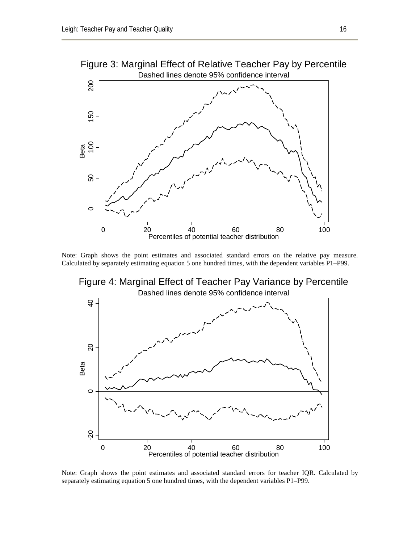

Figure 3: Marginal Effect of Relative Teacher Pay by Percentile

Note: Graph shows the point estimates and associated standard errors on the relative pay measure. Calculated by separately estimating equation 5 one hundred times, with the dependent variables P1–P99.

Dashed lines denote 95% confidence interval Figure 4: Marginal Effect of Teacher Pay Variance by Percentile



Note: Graph shows the point estimates and associated standard errors for teacher IQR. Calculated by separately estimating equation 5 one hundred times, with the dependent variables P1–P99.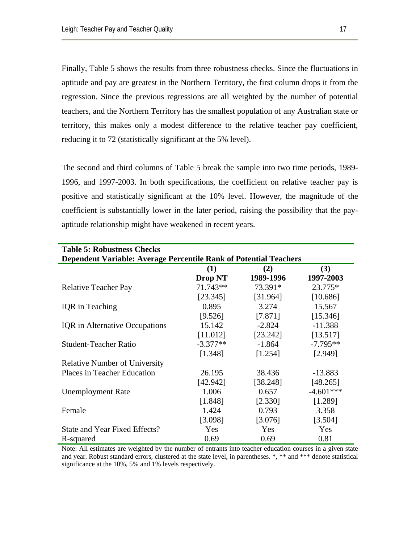Finally, Table 5 shows the results from three robustness checks. Since the fluctuations in aptitude and pay are greatest in the Northern Territory, the first column drops it from the regression. Since the previous regressions are all weighted by the number of potential teachers, and the Northern Territory has the smallest population of any Australian state or territory, this makes only a modest difference to the relative teacher pay coefficient, reducing it to 72 (statistically significant at the 5% level).

The second and third columns of Table 5 break the sample into two time periods, 1989- 1996, and 1997-2003. In both specifications, the coefficient on relative teacher pay is positive and statistically significant at the 10% level. However, the magnitude of the coefficient is substantially lower in the later period, raising the possibility that the payaptitude relationship might have weakened in recent years.

| <b>Table 5: Robustness Checks</b>                                        |                |           |             |  |
|--------------------------------------------------------------------------|----------------|-----------|-------------|--|
| <b>Dependent Variable: Average Percentile Rank of Potential Teachers</b> |                |           |             |  |
|                                                                          | (1)            | (2)       | (3)         |  |
|                                                                          | <b>Drop NT</b> | 1989-1996 | 1997-2003   |  |
| <b>Relative Teacher Pay</b>                                              | 71.743**       | 73.391*   | 23.775*     |  |
|                                                                          | [23.345]       | [31.964]  | [10.686]    |  |
| <b>IQR</b> in Teaching                                                   | 0.895          | 3.274     | 15.567      |  |
|                                                                          | [9.526]        | [7.871]   | [15.346]    |  |
| <b>IQR</b> in Alternative Occupations                                    | 15.142         | $-2.824$  | $-11.388$   |  |
|                                                                          | [11.012]       | [23.242]  | [13.517]    |  |
| <b>Student-Teacher Ratio</b>                                             | $-3.377**$     | $-1.864$  | $-7.795**$  |  |
|                                                                          | [1.348]        | [1.254]   | [2.949]     |  |
| <b>Relative Number of University</b>                                     |                |           |             |  |
| <b>Places in Teacher Education</b>                                       | 26.195         | 38.436    | $-13.883$   |  |
|                                                                          | [42.942]       | [38.248]  | [48.265]    |  |
| <b>Unemployment Rate</b>                                                 | 1.006          | 0.657     | $-4.601***$ |  |
|                                                                          | [1.848]        | [2.330]   | [1.289]     |  |
| Female                                                                   | 1.424          | 0.793     | 3.358       |  |
|                                                                          | [3.098]        | [3.076]   | [3.504]     |  |
| State and Year Fixed Effects?                                            | Yes            | Yes       | Yes         |  |
| R-squared                                                                | 0.69           | 0.69      | 0.81        |  |

Note: All estimates are weighted by the number of entrants into teacher education courses in a given state and year. Robust standard errors, clustered at the state level, in parentheses. \*, \*\* and \*\*\* denote statistical significance at the 10%, 5% and 1% levels respectively.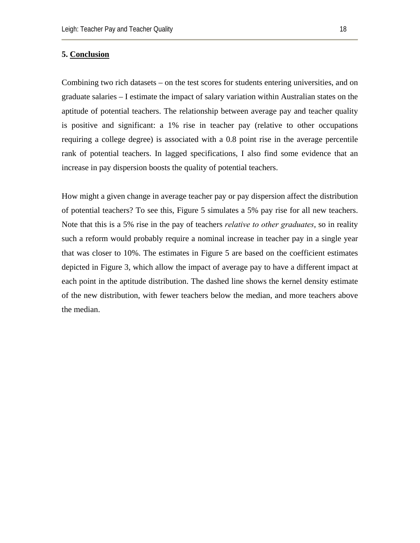#### **5. Conclusion**

Combining two rich datasets – on the test scores for students entering universities, and on graduate salaries – I estimate the impact of salary variation within Australian states on the aptitude of potential teachers. The relationship between average pay and teacher quality is positive and significant: a 1% rise in teacher pay (relative to other occupations requiring a college degree) is associated with a 0.8 point rise in the average percentile rank of potential teachers. In lagged specifications, I also find some evidence that an increase in pay dispersion boosts the quality of potential teachers.

How might a given change in average teacher pay or pay dispersion affect the distribution of potential teachers? To see this, Figure 5 simulates a 5% pay rise for all new teachers. Note that this is a 5% rise in the pay of teachers *relative to other graduates*, so in reality such a reform would probably require a nominal increase in teacher pay in a single year that was closer to 10%. The estimates in Figure 5 are based on the coefficient estimates depicted in Figure 3, which allow the impact of average pay to have a different impact at each point in the aptitude distribution. The dashed line shows the kernel density estimate of the new distribution, with fewer teachers below the median, and more teachers above the median.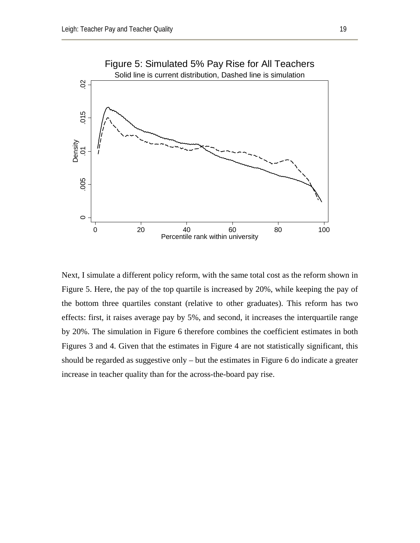

Next, I simulate a different policy reform, with the same total cost as the reform shown in Figure 5. Here, the pay of the top quartile is increased by 20%, while keeping the pay of the bottom three quartiles constant (relative to other graduates). This reform has two effects: first, it raises average pay by 5%, and second, it increases the interquartile range by 20%. The simulation in Figure 6 therefore combines the coefficient estimates in both Figures 3 and 4. Given that the estimates in Figure 4 are not statistically significant, this should be regarded as suggestive only – but the estimates in Figure 6 do indicate a greater increase in teacher quality than for the across-the-board pay rise.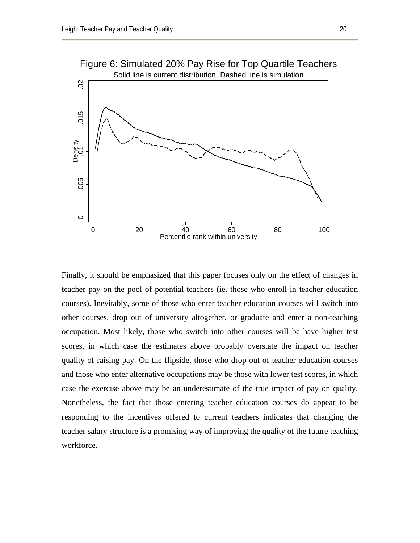

Finally, it should be emphasized that this paper focuses only on the effect of changes in teacher pay on the pool of potential teachers (ie. those who enroll in teacher education courses). Inevitably, some of those who enter teacher education courses will switch into other courses, drop out of university altogether, or graduate and enter a non-teaching occupation. Most likely, those who switch into other courses will be have higher test scores, in which case the estimates above probably overstate the impact on teacher quality of raising pay. On the flipside, those who drop out of teacher education courses and those who enter alternative occupations may be those with lower test scores, in which case the exercise above may be an underestimate of the true impact of pay on quality. Nonetheless, the fact that those entering teacher education courses do appear to be responding to the incentives offered to current teachers indicates that changing the teacher salary structure is a promising way of improving the quality of the future teaching workforce.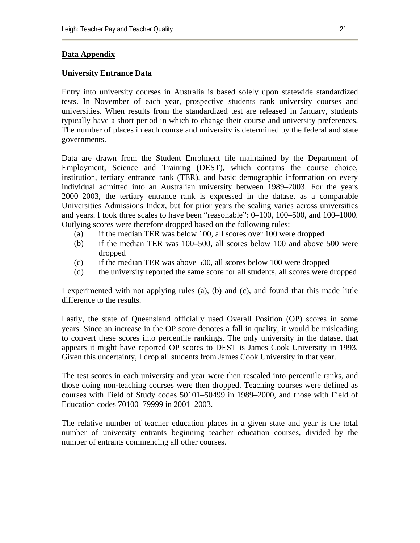# **Data Appendix**

# **University Entrance Data**

Entry into university courses in Australia is based solely upon statewide standardized tests. In November of each year, prospective students rank university courses and universities. When results from the standardized test are released in January, students typically have a short period in which to change their course and university preferences. The number of places in each course and university is determined by the federal and state governments.

Data are drawn from the Student Enrolment file maintained by the Department of Employment, Science and Training (DEST), which contains the course choice, institution, tertiary entrance rank (TER), and basic demographic information on every individual admitted into an Australian university between 1989–2003. For the years 2000–2003, the tertiary entrance rank is expressed in the dataset as a comparable Universities Admissions Index, but for prior years the scaling varies across universities and years. I took three scales to have been "reasonable": 0–100, 100–500, and 100–1000. Outlying scores were therefore dropped based on the following rules:

- (a) if the median TER was below 100, all scores over 100 were dropped
- (b) if the median TER was 100–500, all scores below 100 and above 500 were dropped
- (c) if the median TER was above 500, all scores below 100 were dropped
- (d) the university reported the same score for all students, all scores were dropped

I experimented with not applying rules (a), (b) and (c), and found that this made little difference to the results.

Lastly, the state of Queensland officially used Overall Position (OP) scores in some years. Since an increase in the OP score denotes a fall in quality, it would be misleading to convert these scores into percentile rankings. The only university in the dataset that appears it might have reported OP scores to DEST is James Cook University in 1993. Given this uncertainty, I drop all students from James Cook University in that year.

The test scores in each university and year were then rescaled into percentile ranks, and those doing non-teaching courses were then dropped. Teaching courses were defined as courses with Field of Study codes 50101–50499 in 1989–2000, and those with Field of Education codes 70100–79999 in 2001–2003.

The relative number of teacher education places in a given state and year is the total number of university entrants beginning teacher education courses, divided by the number of entrants commencing all other courses.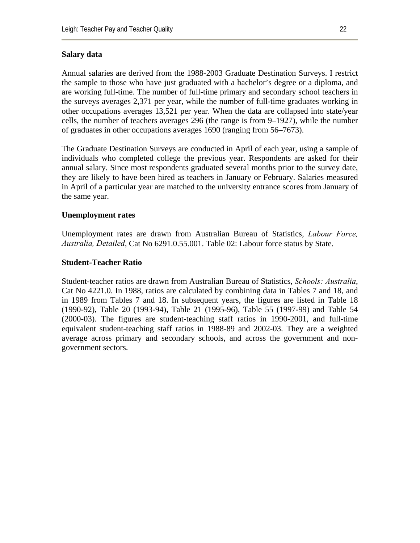### **Salary data**

Annual salaries are derived from the 1988-2003 Graduate Destination Surveys. I restrict the sample to those who have just graduated with a bachelor's degree or a diploma, and are working full-time. The number of full-time primary and secondary school teachers in the surveys averages 2,371 per year, while the number of full-time graduates working in other occupations averages 13,521 per year. When the data are collapsed into state/year cells, the number of teachers averages 296 (the range is from 9–1927), while the number of graduates in other occupations averages 1690 (ranging from 56–7673).

The Graduate Destination Surveys are conducted in April of each year, using a sample of individuals who completed college the previous year. Respondents are asked for their annual salary. Since most respondents graduated several months prior to the survey date, they are likely to have been hired as teachers in January or February. Salaries measured in April of a particular year are matched to the university entrance scores from January of the same year.

### **Unemployment rates**

Unemployment rates are drawn from Australian Bureau of Statistics, *Labour Force, Australia, Detailed*, Cat No 6291.0.55.001. Table 02: Labour force status by State.

### **Student-Teacher Ratio**

Student-teacher ratios are drawn from Australian Bureau of Statistics, *Schools: Australia*, Cat No 4221.0. In 1988, ratios are calculated by combining data in Tables 7 and 18, and in 1989 from Tables 7 and 18. In subsequent years, the figures are listed in Table 18 (1990-92), Table 20 (1993-94), Table 21 (1995-96), Table 55 (1997-99) and Table 54 (2000-03). The figures are student-teaching staff ratios in 1990-2001, and full-time equivalent student-teaching staff ratios in 1988-89 and 2002-03. They are a weighted average across primary and secondary schools, and across the government and nongovernment sectors.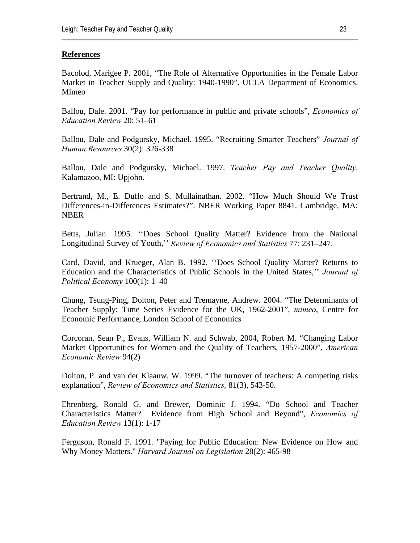#### **References**

Bacolod, Marigee P. 2001, "The Role of Alternative Opportunities in the Female Labor Market in Teacher Supply and Quality: 1940-1990". UCLA Department of Economics. Mimeo

Ballou, Dale. 2001. "Pay for performance in public and private schools", *Economics of Education Review* 20: 51–61

Ballou, Dale and Podgursky, Michael. 1995. "Recruiting Smarter Teachers" *Journal of Human Resources* 30(2): 326-338

Ballou, Dale and Podgursky, Michael. 1997. *Teacher Pay and Teacher Quality*. Kalamazoo, MI: Upjohn.

Bertrand, M., E. Duflo and S. Mullainathan. 2002. "How Much Should We Trust Differences-in-Differences Estimates?". NBER Working Paper 8841. Cambridge, MA: NBER

Betts, Julian. 1995. ''Does School Quality Matter? Evidence from the National Longitudinal Survey of Youth,'' *Review of Economics and Statistics* 77: 231–247.

Card, David, and Krueger, Alan B. 1992. ''Does School Quality Matter? Returns to Education and the Characteristics of Public Schools in the United States,'' *Journal of Political Economy* 100(1): 1–40

Chung, Tsung-Ping, Dolton, Peter and Tremayne, Andrew. 2004. "The Determinants of Teacher Supply: Time Series Evidence for the UK, 1962-2001", *mimeo*, Centre for Economic Performance, London School of Economics

Corcoran, Sean P., Evans, William N. and Schwab, 2004, Robert M. "Changing Labor Market Opportunities for Women and the Quality of Teachers, 1957-2000", *American Economic Review* 94(2)

Dolton, P. and van der Klaauw, W. 1999. "The turnover of teachers: A competing risks explanation", *Review of Economics and Statistics,* 81(3), 543-50.

Ehrenberg, Ronald G. and Brewer, Dominic J. 1994. "Do School and Teacher Characteristics Matter? Evidence from High School and Beyond", *Economics of Education Review* 13(1): 1-17

Ferguson, Ronald F. 1991. "Paying for Public Education: New Evidence on How and Why Money Matters." *Harvard Journal on Legislation* 28(2): 465-98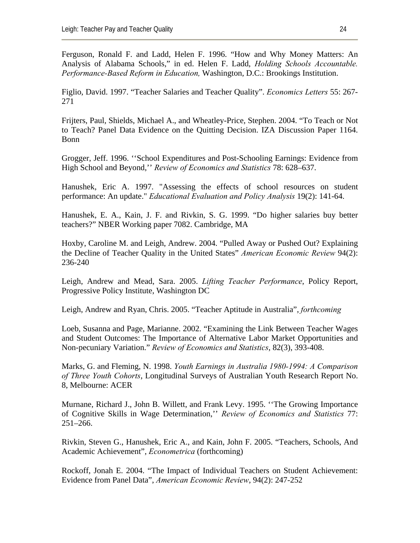Ferguson, Ronald F. and Ladd, Helen F. 1996. "How and Why Money Matters: An Analysis of Alabama Schools," in ed. Helen F. Ladd, *Holding Schools Accountable. Performance-Based Reform in Education,* Washington, D.C.: Brookings Institution.

Figlio, David. 1997. "Teacher Salaries and Teacher Quality". *Economics Letters* 55: 267- 271

Frijters, Paul, Shields, Michael A., and Wheatley-Price, Stephen. 2004. "To Teach or Not to Teach? Panel Data Evidence on the Quitting Decision. IZA Discussion Paper 1164. Bonn

Grogger, Jeff. 1996. ''School Expenditures and Post-Schooling Earnings: Evidence from High School and Beyond,'' *Review of Economics and Statistics* 78: 628–637.

Hanushek, Eric A. 1997. "Assessing the effects of school resources on student performance: An update." *Educational Evaluation and Policy Analysis* 19(2): 141-64.

Hanushek, E. A., Kain, J. F. and Rivkin, S. G. 1999. "Do higher salaries buy better teachers?" NBER Working paper 7082. Cambridge, MA

Hoxby, Caroline M. and Leigh, Andrew. 2004. "Pulled Away or Pushed Out? Explaining the Decline of Teacher Quality in the United States" *American Economic Review* 94(2): 236-240

Leigh, Andrew and Mead, Sara. 2005. *Lifting Teacher Performance*, Policy Report, Progressive Policy Institute, Washington DC

Leigh, Andrew and Ryan, Chris. 2005. "Teacher Aptitude in Australia", *forthcoming*

Loeb, Susanna and Page, Marianne. 2002. "Examining the Link Between Teacher Wages and Student Outcomes: The Importance of Alternative Labor Market Opportunities and Non-pecuniary Variation." *Review of Economics and Statistics*, 82(3), 393-408.

Marks, G. and Fleming, N. 1998. *Youth Earnings in Australia 1980-1994: A Comparison of Three Youth Cohorts*, Longitudinal Surveys of Australian Youth Research Report No. 8, Melbourne: ACER

Murnane, Richard J., John B. Willett, and Frank Levy. 1995. ''The Growing Importance of Cognitive Skills in Wage Determination,'' *Review of Economics and Statistics* 77: 251–266.

Rivkin, Steven G., Hanushek, Eric A., and Kain, John F. 2005. "Teachers, Schools, And Academic Achievement", *Econometrica* (forthcoming)

Rockoff, Jonah E. 2004. "The Impact of Individual Teachers on Student Achievement: Evidence from Panel Data", *American Economic Review*, 94(2): 247-252